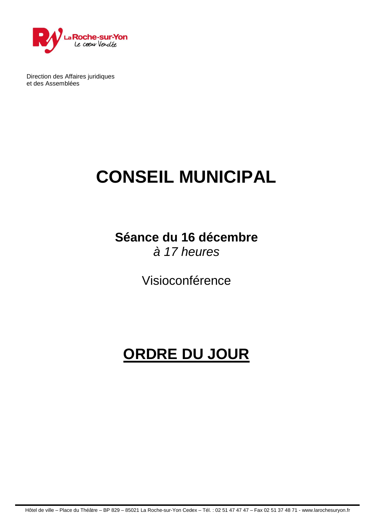

Direction des Affaires juridiques et des Assemblées

# **CONSEIL MUNICIPAL**

### **Séance du 16 décembre** *à 17 heures*

Visioconférence

## **ORDRE DU JOUR**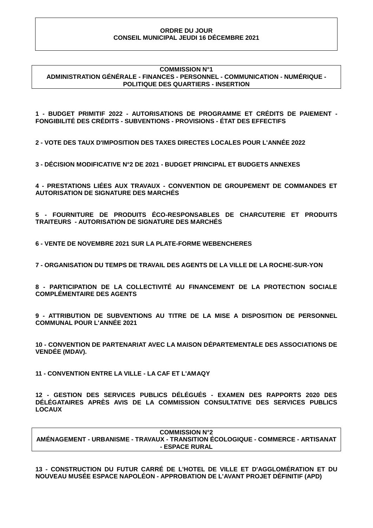#### **ORDRE DU JOUR CONSEIL MUNICIPAL JEUDI 16 DÉCEMBRE 2021**

#### **COMMISSION N°1 ADMINISTRATION GÉNÉRALE - FINANCES - PERSONNEL - COMMUNICATION - NUMÉRIQUE - POLITIQUE DES QUARTIERS - INSERTION**

#### **1 - BUDGET PRIMITIF 2022 - AUTORISATIONS DE PROGRAMME ET CRÉDITS DE PAIEMENT - FONGIBILITÉ DES CRÉDITS - SUBVENTIONS - PROVISIONS - ÉTAT DES EFFECTIFS**

**2 - VOTE DES TAUX D'IMPOSITION DES TAXES DIRECTES LOCALES POUR L'ANNÉE 2022**

**3 - DÉCISION MODIFICATIVE N°2 DE 2021 - BUDGET PRINCIPAL ET BUDGETS ANNEXES**

**4 - PRESTATIONS LIÉES AUX TRAVAUX - CONVENTION DE GROUPEMENT DE COMMANDES ET AUTORISATION DE SIGNATURE DES MARCHÉS**

**5 - FOURNITURE DE PRODUITS ÉCO-RESPONSABLES DE CHARCUTERIE ET PRODUITS TRAITEURS - AUTORISATION DE SIGNATURE DES MARCHÉS**

**6 - VENTE DE NOVEMBRE 2021 SUR LA PLATE-FORME WEBENCHERES**

**7 - ORGANISATION DU TEMPS DE TRAVAIL DES AGENTS DE LA VILLE DE LA ROCHE-SUR-YON**

**8 - PARTICIPATION DE LA COLLECTIVITÉ AU FINANCEMENT DE LA PROTECTION SOCIALE COMPLÉMENTAIRE DES AGENTS**

**9 - ATTRIBUTION DE SUBVENTIONS AU TITRE DE LA MISE A DISPOSITION DE PERSONNEL COMMUNAL POUR L'ANNÉE 2021**

**10 - CONVENTION DE PARTENARIAT AVEC LA MAISON DÉPARTEMENTALE DES ASSOCIATIONS DE VENDÉE (MDAV).**

**11 - CONVENTION ENTRE LA VILLE - LA CAF ET L'AMAQY**

**12 - GESTION DES SERVICES PUBLICS DÉLÉGUÉS - EXAMEN DES RAPPORTS 2020 DES DÉLÉGATAIRES APRÈS AVIS DE LA COMMISSION CONSULTATIVE DES SERVICES PUBLICS LOCAUX**

**COMMISSION N°2 AMÉNAGEMENT - URBANISME - TRAVAUX - TRANSITION ÉCOLOGIQUE - COMMERCE - ARTISANAT - ESPACE RURAL**

**13 - CONSTRUCTION DU FUTUR CARRÉ DE L'HOTEL DE VILLE ET D'AGGLOMÉRATION ET DU NOUVEAU MUSÉE ESPACE NAPOLÉON - APPROBATION DE L'AVANT PROJET DÉFINITIF (APD)**